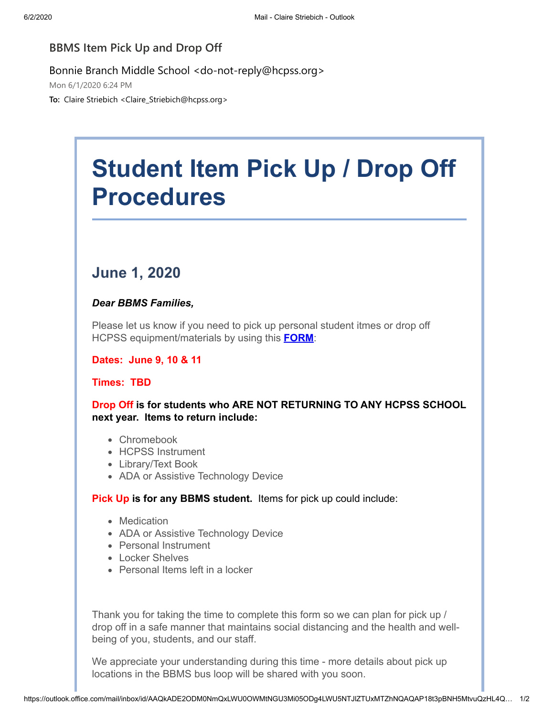## **BBMS Item Pick Up and Drop Off**

## Bonnie Branch Middle School <do-not-reply@hcpss.org>

Mon 6/1/2020 6:24 PM

**To:** Claire Striebich <Claire\_Striebich@hcpss.org>

# **Student Item Pick Up / Drop Off Procedures**

## **June 1, 2020**

### *Dear BBMS Families,*

Please let us know if you need to pick up personal student itmes or drop off HCPSS equipment/materials by using this **[FORM](https://nam01.safelinks.protection.outlook.com/?url=http:%2F%2Ftrack.spe.schoolmessenger.com%2Ff%2Fa%2Fpnq36JFF1MdvNvsk3qquRQ~~%2FAAAAAQA~%2FRgRgtrOjP0QjaHR0cHM6Ly9mb3Jtcy5nbGUvVmRZRzJuSnhVZlhTVUVhZEFXB3NjaG9vbG1CCgBGI4DVXrc0qIlSGmNsYWlyZV9zdHJpZWJpY2hAaGNwc3Mub3JnWAQAAAAB&data=02%7C01%7Cclaire_striebich%40hcpss.org%7Cbdb10778ef654cbabb0e08d8067a917e%7C96a9ac4c477e4dada2b28ad3fc46790b%7C1%7C0%7C637266470780768561&sdata=Stm0TiA9pTerCOTjnfmGmQvyMolwsvMj5t8zCOzoBJY%3D&reserved=0)**:

#### **Dates: June 9, 10 & 11**

## **Times: TBD**

**Drop Off is for students who ARE NOT RETURNING TO ANY HCPSS SCHOOL next year. Items to return include:**

- Chromebook
- HCPSS Instrument
- Library/Text Book
- ADA or Assistive Technology Device

**Pick Up is for any BBMS student.** Items for pick up could include:

- Medication
- ADA or Assistive Technology Device
- Personal Instrument
- Locker Shelves
- Personal Items left in a locker

Thank you for taking the time to complete this form so we can plan for pick up / drop off in a safe manner that maintains social distancing and the health and wellbeing of you, students, and our staff.

We appreciate your understanding during this time - more details about pick up locations in the BBMS bus loop will be shared with you soon.